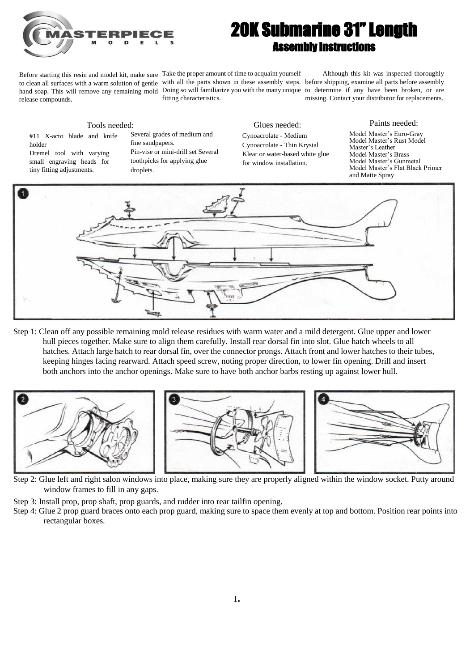

## 20K Submarine 31" Length Assembly Instructions

Before starting this resin and model kit, make sure Take the proper amount of time to acquaint yourself to clean all surfaces with a warm solution of gentle with all the parts shown in these assembly steps. before shipping, examine all parts before assembly hand soap. This will remove any remaining mold Doing so will familiarize you with the many unique to determine if any have been broken, or are release compounds.

fitting characteristics.

Although this kit was inspected thoroughly missing. Contact your distributor for replacements.

#11 X-acto blade and knife holder Dremel tool with varying small engraving heads for tiny fitting adjustments.

Several grades of medium and fine sandpapers. Pin-vise or mini-drill set Several toothpicks for applying glue droplets.

Tools needed: Paints needed: Paints needed: Glues needed: Cynoacrolate - Medium Cynoacrolate - Thin Krystal Klear or water-based white glue for window installation.

Model Master's Euro-Gray Model Master's Rust Model Master's Leather Model Master's Brass Model Master's Gunmetal Model Master's Flat Black Primer and Matte Spray



Step 1: Clean off any possible remaining mold release residues with warm water and a mild detergent. Glue upper and lower hull pieces together. Make sure to align them carefully. Install rear dorsal fin into slot. Glue hatch wheels to all hatches. Attach large hatch to rear dorsal fin, over the connector prongs. Attach front and lower hatches to their tubes, keeping hinges facing rearward. Attach speed screw, noting proper direction, to lower fin opening. Drill and insert both anchors into the anchor openings. Make sure to have both anchor barbs resting up against lower hull.



- Step 2: Glue left and right salon windows into place, making sure they are properly aligned within the window socket. Putty around window frames to fill in any gaps.
- Step 3: Install prop, prop shaft, prop guards, and rudder into rear tailfin opening.
- Step 4: Glue 2 prop guard braces onto each prop guard, making sure to space them evenly at top and bottom. Position rear points into rectangular boxes.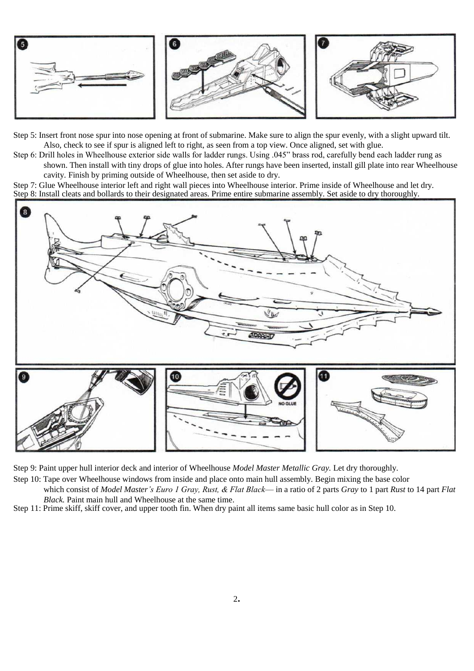

Step 5: Insert front nose spur into nose opening at front of submarine. Make sure to align the spur evenly, with a slight upward tilt. Also, check to see if spur is aligned left to right, as seen from a top view. Once aligned, set with glue.

Step 6: Drill holes in Wheelhouse exterior side walls for ladder rungs. Using .045" brass rod, carefully bend each ladder rung as shown. Then install with tiny drops of glue into holes. After rungs have been inserted, install gill plate into rear Wheelhouse

cavity. Finish by priming outside of Wheelhouse, then set aside to dry.

Step 7: Glue Wheelhouse interior left and right wall pieces into Wheelhouse interior. Prime inside of Wheelhouse and let dry. Step 8: Install cleats and bollards to their designated areas. Prime entire submarine assembly. Set aside to dry thoroughly.



Step 9: Paint upper hull interior deck and interior of Wheelhouse *Model Master Metallic Gray.* Let dry thoroughly.

Step 10: Tape over Wheelhouse windows from inside and place onto main hull assembly. Begin mixing the base color

which consist of *Model Master's Euro 1 Gray, Rust, & Flat Black*— in a ratio of 2 parts *Gray* to 1 part *Rust* to 14 part *Flat Black.* Paint main hull and Wheelhouse at the same time.

Step 11: Prime skiff, skiff cover, and upper tooth fin. When dry paint all items same basic hull color as in Step 10.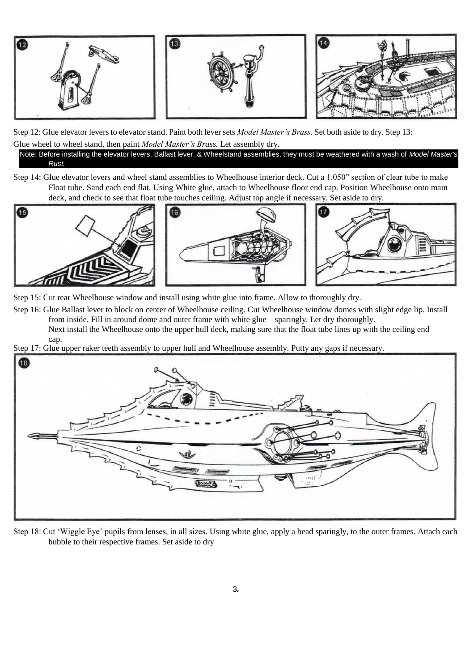

Step 12: Glue elevator levers to elevator stand. Paint both lever sets *Model Master's Brass.* Set both aside to dry. Step 13: Glue wheel to wheel stand, then paint *Model Master's Brass.* Let assembly dry.

Note: Before installing the elevator levers. Ballast lever. & Wheelstand assemblies, they must be weathered with a wash of *Model Master's Rust.*

Step 14: Glue elevator levers and wheel stand assemblies to Wheelhouse interior deck. Cut a 1.050" section of clear tube to make Float tube. Sand each end flat. Using White glue, attach to Wheelhouse floor end cap. Position Wheelhouse onto main deck, and check to see that float tube touches ceiling. Adjust top angle if necessary. Set aside to dry.



Step 15: Cut rear Wheelhouse window and install using white glue into frame. Allow to thoroughly dry.

Step 16: Glue Ballast lever to block on center of Wheelhouse ceiling. Cut Wheelhouse window domes with slight edge lip. Install from inside. Fill in around dome and outer frame with white glue—sparingly. Let dry thoroughly. Next install the Wheelhouse onto the upper hull deck, making sure that the float tube lines up with the ceiling end cap.

Step 17: Glue upper raker teeth assembly to upper hull and Wheelhouse assembly. Putty any gaps if necessary.



Step 18: Cut 'Wiggle Eye' pupils from lenses, in all sizes. Using white glue, apply a bead sparingly, to the outer frames. Attach each bubble to their respective frames. Set aside to dry